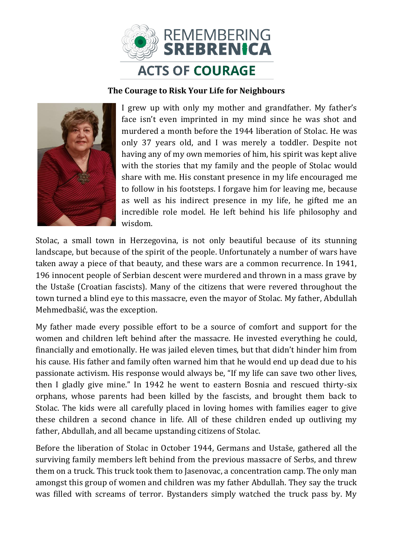

## **The Courage to Risk Your Life for Neighbours**



I grew up with only my mother and grandfather. My father's face isn't even imprinted in my mind since he was shot and murdered a month before the 1944 liberation of Stolac. He was only 37 years old, and I was merely a toddler. Despite not having any of my own memories of him, his spirit was kept alive with the stories that my family and the people of Stolac would share with me. His constant presence in my life encouraged me to follow in his footsteps. I forgave him for leaving me, because as well as his indirect presence in my life, he gifted me an incredible role model. He left behind his life philosophy and wisdom.

Stolac, a small town in Herzegovina, is not only beautiful because of its stunning landscape, but because of the spirit of the people. Unfortunately a number of wars have taken away a piece of that beauty, and these wars are a common recurrence. In 1941, 196 innocent people of Serbian descent were murdered and thrown in a mass grave by the Ustaše (Croatian fascists). Many of the citizens that were revered throughout the town turned a blind eye to this massacre, even the mayor of Stolac. My father, Abdullah Mehmedbašić, was the exception.

My father made every possible effort to be a source of comfort and support for the women and children left behind after the massacre. He invested everything he could, financially and emotionally. He was jailed eleven times, but that didn't hinder him from his cause. His father and family often warned him that he would end up dead due to his passionate activism. His response would always be, "If my life can save two other lives, then I gladly give mine." In 1942 he went to eastern Bosnia and rescued thirty-six orphans, whose parents had been killed by the fascists, and brought them back to Stolac. The kids were all carefully placed in loving homes with families eager to give these children a second chance in life. All of these children ended up outliving my father, Abdullah, and all became upstanding citizens of Stolac.

Before the liberation of Stolac in October 1944, Germans and Ustaše, gathered all the surviving family members left behind from the previous massacre of Serbs, and threw them on a truck. This truck took them to Jasenovac, a concentration camp. The only man amongst this group of women and children was my father Abdullah. They say the truck was filled with screams of terror. Bystanders simply watched the truck pass by. My